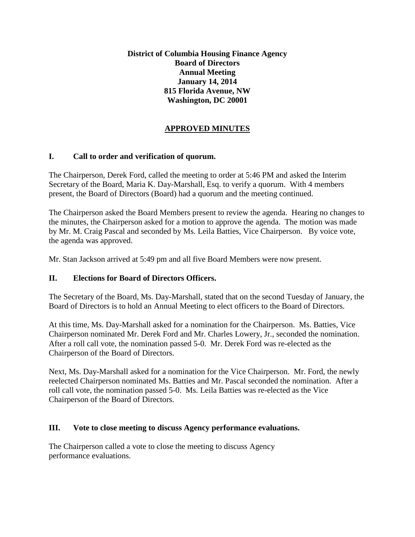**District of Columbia Housing Finance Agency Board of Directors Annual Meeting January 14, 2014 815 Florida Avenue, NW Washington, DC 20001**

# **APPROVED MINUTES**

## **I. Call to order and verification of quorum.**

The Chairperson, Derek Ford, called the meeting to order at 5:46 PM and asked the Interim Secretary of the Board, Maria K. Day-Marshall, Esq. to verify a quorum. With 4 members present, the Board of Directors (Board) had a quorum and the meeting continued.

The Chairperson asked the Board Members present to review the agenda. Hearing no changes to the minutes, the Chairperson asked for a motion to approve the agenda. The motion was made by Mr. M. Craig Pascal and seconded by Ms. Leila Batties, Vice Chairperson. By voice vote, the agenda was approved.

Mr. Stan Jackson arrived at 5:49 pm and all five Board Members were now present.

## **II. Elections for Board of Directors Officers.**

The Secretary of the Board, Ms. Day-Marshall, stated that on the second Tuesday of January, the Board of Directors is to hold an Annual Meeting to elect officers to the Board of Directors.

At this time, Ms. Day-Marshall asked for a nomination for the Chairperson. Ms. Batties, Vice Chairperson nominated Mr. Derek Ford and Mr. Charles Lowery, Jr., seconded the nomination. After a roll call vote, the nomination passed 5-0. Mr. Derek Ford was re-elected as the Chairperson of the Board of Directors.

Next, Ms. Day-Marshall asked for a nomination for the Vice Chairperson. Mr. Ford, the newly reelected Chairperson nominated Ms. Batties and Mr. Pascal seconded the nomination. After a roll call vote, the nomination passed 5-0. Ms. Leila Batties was re-elected as the Vice Chairperson of the Board of Directors.

#### **III. Vote to close meeting to discuss Agency performance evaluations.**

The Chairperson called a vote to close the meeting to discuss Agency performance evaluations.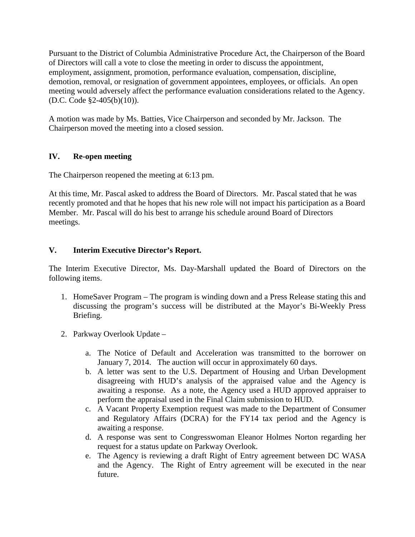Pursuant to the District of Columbia Administrative Procedure Act, the Chairperson of the Board of Directors will call a vote to close the meeting in order to discuss the appointment, employment, assignment, promotion, performance evaluation, compensation, discipline, demotion, removal, or resignation of government appointees, employees, or officials. An open meeting would adversely affect the performance evaluation considerations related to the Agency. (D.C. Code §2-405(b)(10)).

A motion was made by Ms. Batties, Vice Chairperson and seconded by Mr. Jackson. The Chairperson moved the meeting into a closed session.

## **IV. Re-open meeting**

The Chairperson reopened the meeting at 6:13 pm.

At this time, Mr. Pascal asked to address the Board of Directors. Mr. Pascal stated that he was recently promoted and that he hopes that his new role will not impact his participation as a Board Member. Mr. Pascal will do his best to arrange his schedule around Board of Directors meetings.

## **V. Interim Executive Director's Report.**

The Interim Executive Director, Ms. Day-Marshall updated the Board of Directors on the following items.

- 1. HomeSaver Program The program is winding down and a Press Release stating this and discussing the program's success will be distributed at the Mayor's Bi-Weekly Press Briefing.
- 2. Parkway Overlook Update
	- a. The Notice of Default and Acceleration was transmitted to the borrower on January 7, 2014. The auction will occur in approximately 60 days.
	- b. A letter was sent to the U.S. Department of Housing and Urban Development disagreeing with HUD's analysis of the appraised value and the Agency is awaiting a response. As a note, the Agency used a HUD approved appraiser to perform the appraisal used in the Final Claim submission to HUD.
	- c. A Vacant Property Exemption request was made to the Department of Consumer and Regulatory Affairs (DCRA) for the FY14 tax period and the Agency is awaiting a response.
	- d. A response was sent to Congresswoman Eleanor Holmes Norton regarding her request for a status update on Parkway Overlook.
	- e. The Agency is reviewing a draft Right of Entry agreement between DC WASA and the Agency. The Right of Entry agreement will be executed in the near future.